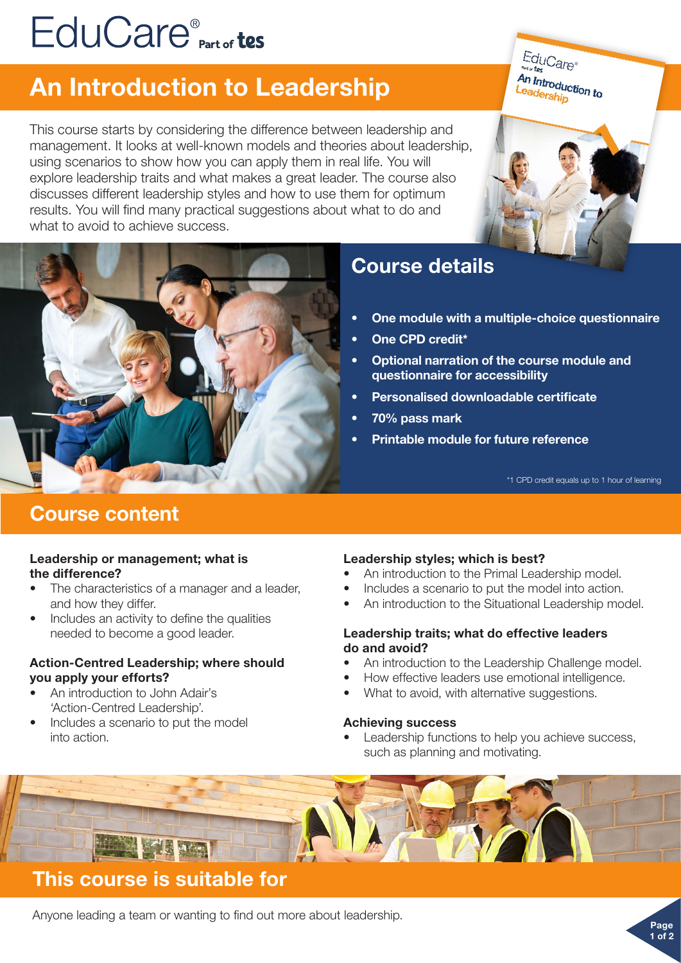# EduCare<sup>®</sup><sub>Part of</sub> tes

## An Introduction to Leadership

This course starts by considering the difference between leadership and management. It looks at well-known models and theories about leadership, using scenarios to show how you can apply them in real life. You will explore leadership traits and what makes a great leader. The course also discusses different leadership styles and how to use them for optimum results. You will find many practical suggestions about what to do and what to avoid to achieve success.







## Course details

- One module with a multiple-choice questionnaire
- One CPD credit\*
- Optional narration of the course module and questionnaire for accessibility
- Personalised downloadable certificate
- 70% pass mark
- Printable module for future reference

\*1 CPD credit equals up to 1 hour of learning

Page 1 of 2

## Course content

#### Leadership or management; what is the difference?

- The characteristics of a manager and a leader, and how they differ.
- Includes an activity to define the qualities needed to become a good leader.

#### Action-Centred Leadership; where should you apply your efforts?

- An introduction to John Adair's 'Action-Centred Leadership'.
- Includes a scenario to put the model into action.

#### Leadership styles; which is best?

- An introduction to the Primal Leadership model.
- Includes a scenario to put the model into action.
- An introduction to the Situational Leadership model.

#### Leadership traits; what do effective leaders do and avoid?

- An introduction to the Leadership Challenge model.
- How effective leaders use emotional intelligence.
- What to avoid, with alternative suggestions.

#### Achieving success

Leadership functions to help you achieve success, such as planning and motivating.



## This course is suitable for

Anyone leading a team or wanting to find out more about leadership.